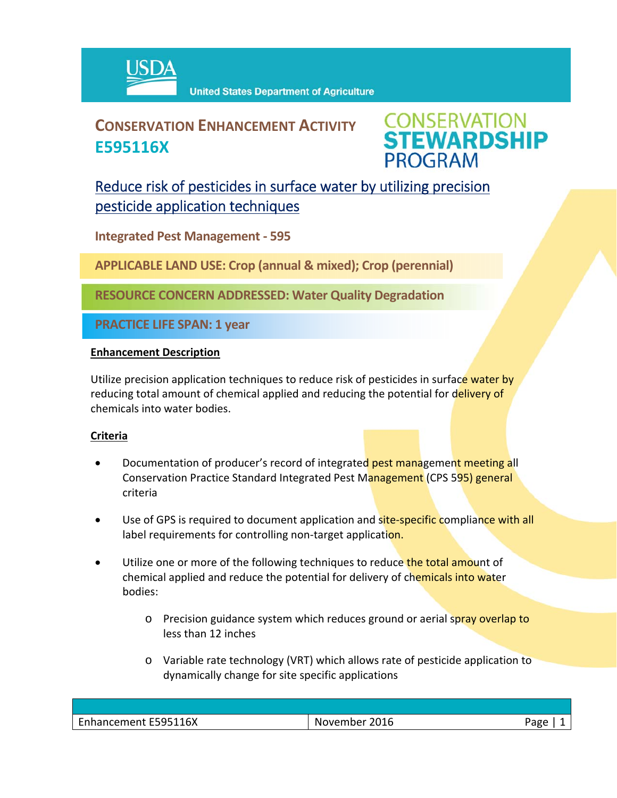

# **CONSERVATION ENHANCEMENT ACTIVITY E595116X**



## Reduce risk of pesticides in surface water by utilizing precision pesticide application techniques

**Integrated Pest Management ‐ 595**

**APPLICABLE LAND USE: Crop (annual & mixed); Crop (perennial)**

**RESOURCE CONCERN ADDRESSED: Water Quality Degradation** 

**PRACTICE LIFE SPAN: 1 year**

### **Enhancement Description**

Utilize precision application techniques to reduce risk of pesticides in surface water by reducing total amount of chemical applied and reducing the potential for delivery of chemicals into water bodies.

#### **Criteria**

- Documentation of producer's record of integrated pest management meeting all Conservation Practice Standard Integrated Pest Management (CPS 595) general criteria
- Use of GPS is required to document application and site-specific compliance with all label requirements for controlling non-target application.
- Utilize one or more of the following techniques to reduce the total amount of chemical applied and reduce the potential for delivery of chemicals into water bodies:
	- o Precision guidance system which reduces ground or aerial spray overlap to less than 12 inches
	- o Variable rate technology (VRT) which allows rate of pesticide application to dynamically change for site specific applications

| $\overline{\phantom{0}}$<br><b>FFOF44</b><br>16X<br>-sari<br>$\sim$ $\sim$ $\sim$<br>- 111<br>.<br>.<br>.<br>. .<br>. | N.<br>wemher<br>Лb<br>. | ാറല<br>۰ |
|-----------------------------------------------------------------------------------------------------------------------|-------------------------|----------|
|                                                                                                                       |                         |          |